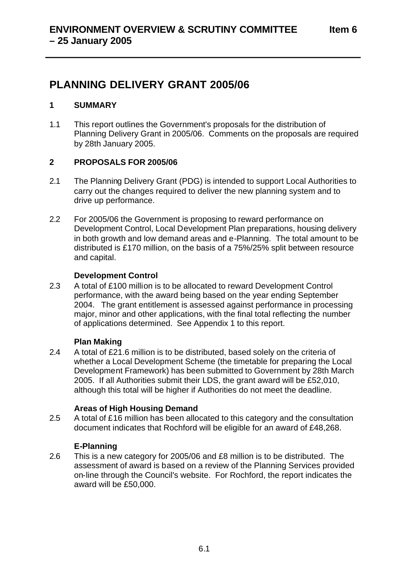# **PLANNING DELIVERY GRANT 2005/06**

# **1 SUMMARY**

1.1 This report outlines the Government's proposals for the distribution of Planning Delivery Grant in 2005/06. Comments on the proposals are required by 28th January 2005.

# **2 PROPOSALS FOR 2005/06**

- 2.1 The Planning Delivery Grant (PDG) is intended to support Local Authorities to carry out the changes required to deliver the new planning system and to drive up performance.
- 2.2 For 2005/06 the Government is proposing to reward performance on Development Control, Local Development Plan preparations, housing delivery in both growth and low demand areas and e-Planning. The total amount to be distributed is £170 million, on the basis of a 75%/25% split between resource and capital.

# **Development Control**

2.3 A total of £100 million is to be allocated to reward Development Control performance, with the award being based on the year ending September 2004. The grant entitlement is assessed against performance in processing major, minor and other applications, with the final total reflecting the number of applications determined. See Appendix 1 to this report.

## **Plan Making**

2.4 A total of £21.6 million is to be distributed, based solely on the criteria of whether a Local Development Scheme (the timetable for preparing the Local Development Framework) has been submitted to Government by 28th March 2005. If all Authorities submit their LDS, the grant award will be £52,010, although this total will be higher if Authorities do not meet the deadline.

# **Areas of High Housing Demand**

2.5 A total of £16 million has been allocated to this category and the consultation document indicates that Rochford will be eligible for an award of £48,268.

## **E-Planning**

2.6 This is a new category for 2005/06 and £8 million is to be distributed. The assessment of award is based on a review of the Planning Services provided on-line through the Council's website. For Rochford, the report indicates the award will be £50,000.